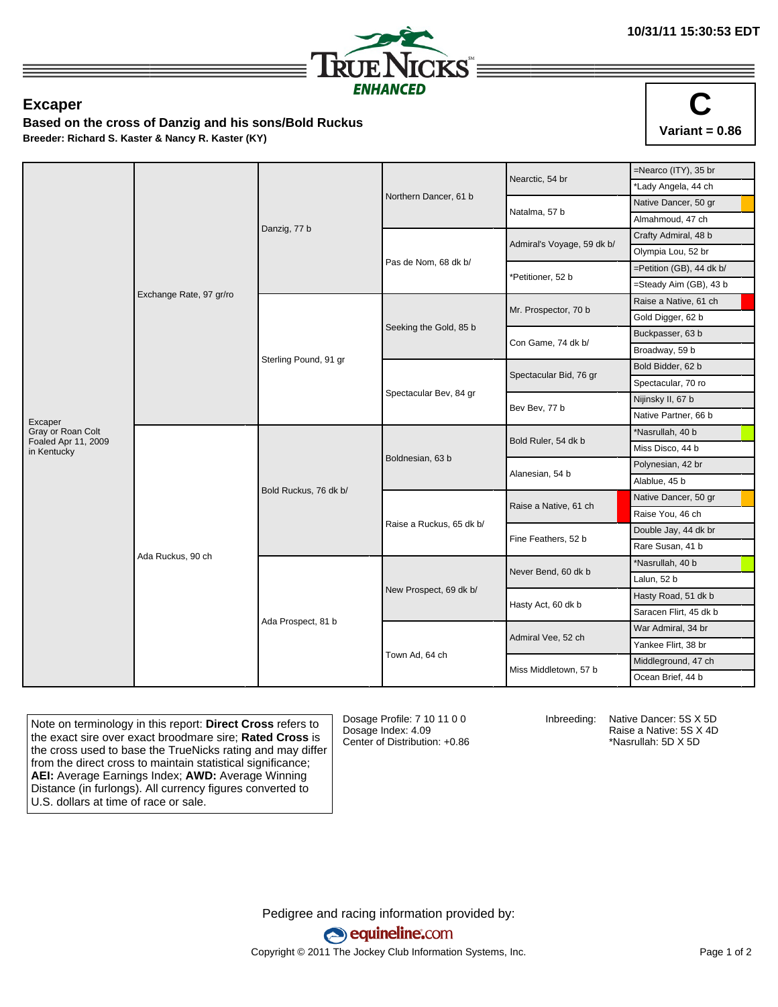

## **Excaper**

**Based on the cross of Danzig and his sons/Bold Ruckus Breeder: Richard S. Kaster & Nancy R. Kaster (KY)**



|                                          |                         |                       |                          | Nearctic, 54 br            | $=$ Nearco (ITY), 35 br  |
|------------------------------------------|-------------------------|-----------------------|--------------------------|----------------------------|--------------------------|
|                                          | Exchange Rate, 97 gr/ro | Danzig, 77 b          | Northern Dancer, 61 b    |                            | *Lady Angela, 44 ch      |
|                                          |                         |                       |                          | Natalma, 57 b              | Native Dancer, 50 gr     |
|                                          |                         |                       |                          |                            | Almahmoud, 47 ch         |
|                                          |                         |                       |                          | Admiral's Voyage, 59 dk b/ | Crafty Admiral, 48 b     |
|                                          |                         |                       | Pas de Nom, 68 dk b/     |                            | Olympia Lou, 52 br       |
|                                          |                         |                       |                          | *Petitioner, 52 b          | =Petition (GB), 44 dk b/ |
|                                          |                         |                       |                          |                            | =Steady Aim (GB), 43 b   |
|                                          |                         | Sterling Pound, 91 gr | Seeking the Gold, 85 b   | Mr. Prospector, 70 b       | Raise a Native, 61 ch    |
|                                          |                         |                       |                          |                            | Gold Digger, 62 b        |
|                                          |                         |                       |                          | Con Game, 74 dk b/         | Buckpasser, 63 b         |
|                                          |                         |                       |                          |                            | Broadway, 59 b           |
|                                          |                         |                       | Spectacular Bev, 84 gr   | Spectacular Bid, 76 gr     | Bold Bidder, 62 b        |
|                                          |                         |                       |                          |                            | Spectacular, 70 ro       |
|                                          |                         |                       |                          | Bev Bev, 77 b              | Nijinsky II, 67 b        |
| Excaper                                  |                         |                       |                          |                            | Native Partner, 66 b     |
| Gray or Roan Colt<br>Foaled Apr 11, 2009 | Ada Ruckus, 90 ch       | Bold Ruckus, 76 dk b/ | Boldnesian, 63 b         | Bold Ruler, 54 dk b        | *Nasrullah, 40 b         |
| in Kentucky                              |                         |                       |                          |                            | Miss Disco, 44 b         |
|                                          |                         |                       |                          | Alanesian, 54 b            | Polynesian, 42 br        |
|                                          |                         |                       |                          |                            | Alablue, 45 b            |
|                                          |                         |                       | Raise a Ruckus, 65 dk b/ | Raise a Native, 61 ch      | Native Dancer, 50 gr     |
|                                          |                         |                       |                          |                            | Raise You, 46 ch         |
|                                          |                         |                       |                          | Fine Feathers, 52 b        | Double Jay, 44 dk br     |
|                                          |                         |                       |                          |                            | Rare Susan, 41 b         |
|                                          |                         | Ada Prospect, 81 b    | New Prospect, 69 dk b/   | Never Bend, 60 dk b        | *Nasrullah, 40 b         |
|                                          |                         |                       |                          |                            | Lalun, 52 b              |
|                                          |                         |                       |                          | Hasty Act, 60 dk b         | Hasty Road, 51 dk b      |
|                                          |                         |                       |                          |                            | Saracen Flirt, 45 dk b   |
|                                          |                         |                       |                          | Admiral Vee, 52 ch         | War Admiral, 34 br       |
|                                          |                         |                       | Town Ad, 64 ch           |                            | Yankee Flirt, 38 br      |
|                                          |                         |                       |                          | Miss Middletown, 57 b      | Middleground, 47 ch      |
|                                          |                         |                       |                          |                            | Ocean Brief, 44 b        |
|                                          |                         |                       |                          |                            |                          |

Note on terminology in this report: **Direct Cross** refers to the exact sire over exact broodmare sire; **Rated Cross** is the cross used to base the TrueNicks rating and may differ from the direct cross to maintain statistical significance; **AEI:** Average Earnings Index; **AWD:** Average Winning Distance (in furlongs). All currency figures converted to U.S. dollars at time of race or sale.

Dosage Profile: 7 10 11 0 0 Dosage Index: 4.09 Center of Distribution: +0.86 Inbreeding: Native Dancer: 5S X 5D

Raise a Native: 5S X 4D \*Nasrullah: 5D X 5D

Pedigree and racing information provided by: equineline.com Copyright © 2011 The Jockey Club Information Systems, Inc. example 2012 Page 1 of 2